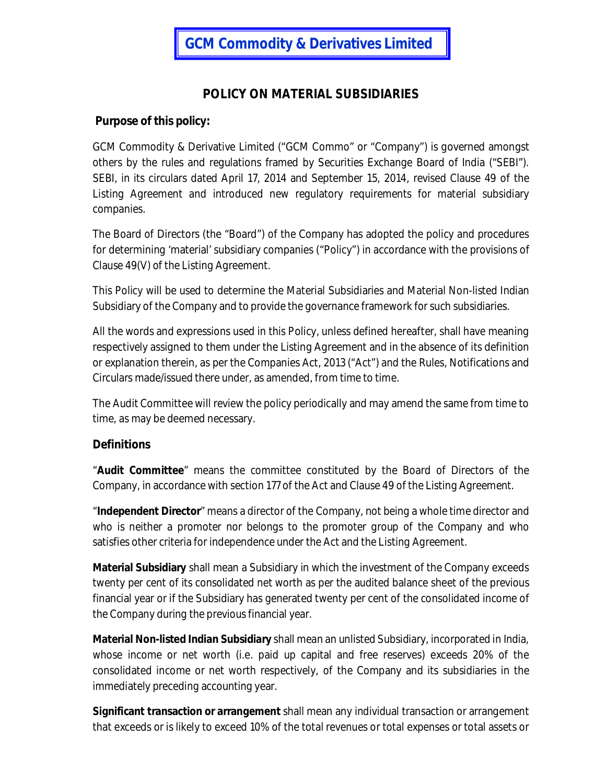# **POLICY ON MATERIAL SUBSIDIARIES**

### **Purpose of this policy:**

GCM Commodity & Derivative Limited ("GCM Commo" or "Company") is governed amongst others by the rules and regulations framed by Securities Exchange Board of India ("SEBI"). SEBI, in its circulars dated April 17, 2014 and September 15, 2014, revised Clause 49 of the Listing Agreement and introduced new regulatory requirements for material subsidiary companies.

The Board of Directors (the "Board") of the Company has adopted the policy and procedures for determining 'material' subsidiary companies ("Policy") in accordance with the provisions of Clause 49(V) of the Listing Agreement.

This Policy will be used to determine the Material Subsidiaries and Material Non-listed Indian Subsidiary of the Company and to provide the governance framework for such subsidiaries.

All the words and expressions used in this Policy, unless defined hereafter, shall have meaning respectively assigned to them under the Listing Agreement and in the absence of its definition or explanation therein, as per the Companies Act, 2013 ("Act") and the Rules, Notifications and Circulars made/issued there under, as amended, from time to time.

The Audit Committee will review the policy periodically and may amend the same from time to time, as may be deemed necessary.

#### **Definitions**

"**Audit Committee**" means the committee constituted by the Board of Directors of the Company, in accordance with section 177 of the Act and Clause 49 of the Listing Agreement.

"**Independent Director**" means a director of the Company, not being a whole time director and who is neither a promoter nor belongs to the promoter group of the Company and who satisfies other criteria for independence under the Act and the Listing Agreement.

**Material Subsidiary** shall mean a Subsidiary in which the investment of the Company exceeds twenty per cent of its consolidated net worth as per the audited balance sheet of the previous financial year or if the Subsidiary has generated twenty per cent of the consolidated income of the Company during the previous financial year.

**Material Non-listed Indian Subsidiary** shall mean an unlisted Subsidiary, incorporated in India, whose income or net worth (i.e. paid up capital and free reserves) exceeds 20% of the consolidated income or net worth respectively, of the Company and its subsidiaries in the immediately preceding accounting year.

**Significant transaction or arrangement** shall mean any individual transaction or arrangement that exceeds or is likely to exceed 10% of the total revenues or total expenses or total assets or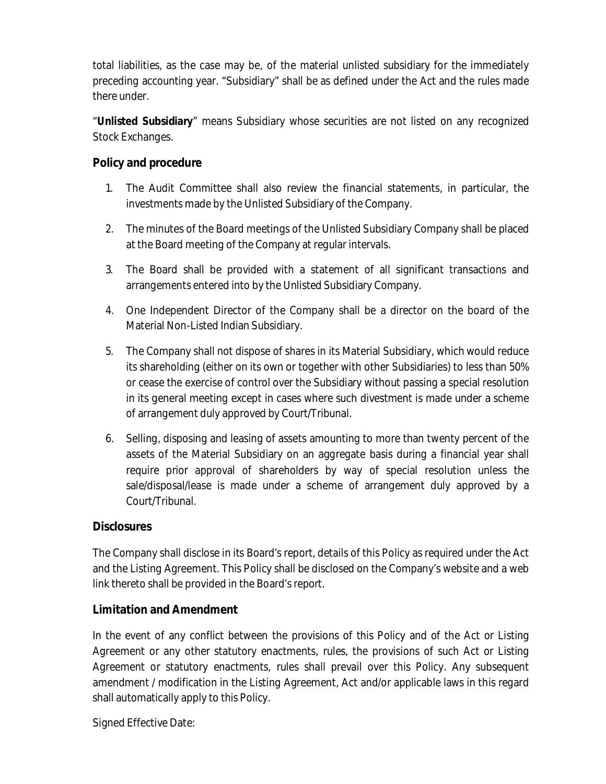total liabilities, as the case may be, of the material unlisted subsidiary for the immediately preceding accounting year. "Subsidiary" shall be as defined under the Act and the rules made there under.

"**Unlisted Subsidiary**" means Subsidiary whose securities are not listed on any recognized Stock Exchanges.

### **Policy and procedure**

- 1. The Audit Committee shall also review the financial statements, in particular, the investments made by the Unlisted Subsidiary of the Company.
- 2. The minutes of the Board meetings of the Unlisted Subsidiary Company shall be placed at the Board meeting of the Company at regular intervals.
- 3. The Board shall be provided with a statement of all significant transactions and arrangements entered into by the Unlisted Subsidiary Company.
- 4. One Independent Director of the Company shall be a director on the board of the Material Non-Listed Indian Subsidiary.
- 5. The Company shall not dispose of shares in its Material Subsidiary, which would reduce its shareholding (either on its own or together with other Subsidiaries) to less than 50% or cease the exercise of control over the Subsidiary without passing a special resolution in its general meeting except in cases where such divestment is made under a scheme of arrangement duly approved by Court/Tribunal.
- 6. Selling, disposing and leasing of assets amounting to more than twenty percent of the assets of the Material Subsidiary on an aggregate basis during a financial year shall require prior approval of shareholders by way of special resolution unless the sale/disposal/lease is made under a scheme of arrangement duly approved by a Court/Tribunal.

### **Disclosures**

The Company shall disclose in its Board's report, details of this Policy as required under the Act and the Listing Agreement. This Policy shall be disclosed on the Company's website and a web link thereto shall be provided in the Board's report.

## **Limitation and Amendment**

In the event of any conflict between the provisions of this Policy and of the Act or Listing Agreement or any other statutory enactments, rules, the provisions of such Act or Listing Agreement or statutory enactments, rules shall prevail over this Policy. Any subsequent amendment / modification in the Listing Agreement, Act and/or applicable laws in this regard shall automatically apply to this Policy.

Signed Effective Date: